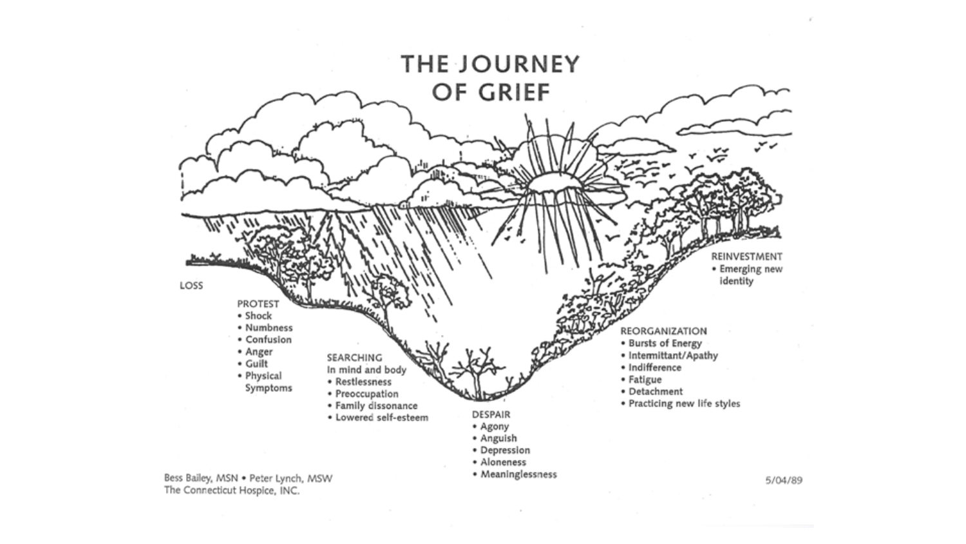

The Connecticut Hospice, INC.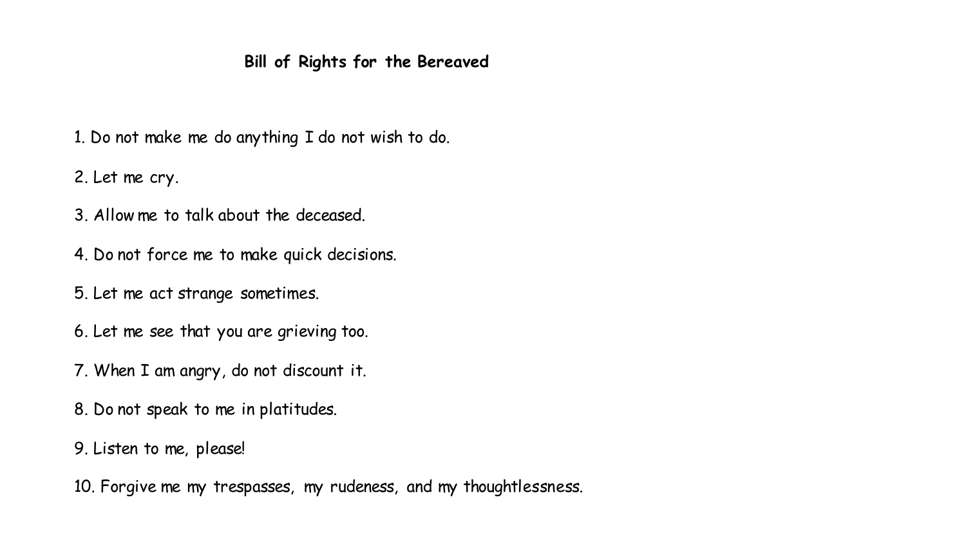## **Bill of Rights for the Bereaved**

1. Do not make me do anything I do not wish to do.

2. Let me cry.

- 3. Allow me to talk about the deceased.
- 4. Do not force me to make quick decisions.
- 5. Let me act strange sometimes.
- 6. Let me see that you are grieving too.
- 7. When I am angry, do not discount it.
- 8. Do not speak to me in platitudes.
- 9. Listen to me, please!

10. Forgive me my trespasses, my rudeness, and my thoughtlessness.